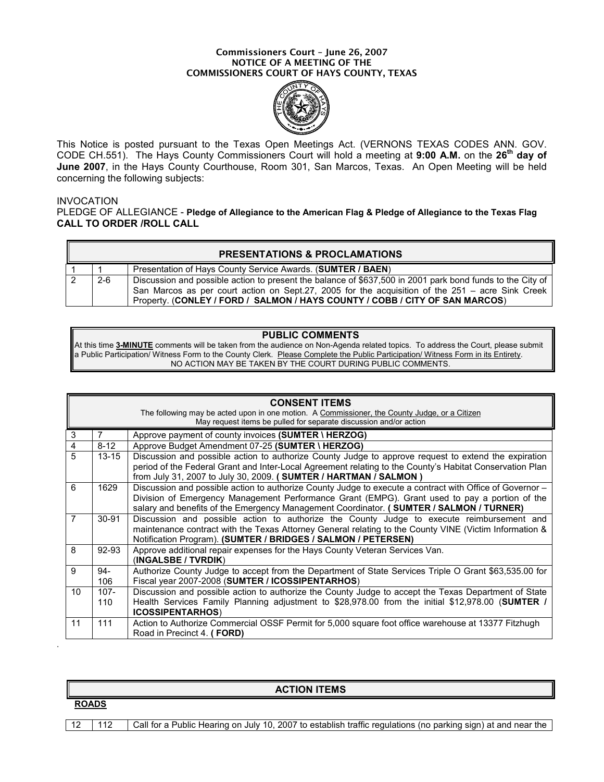#### Commissioners Court – June 26, 2007 NOTICE OF A MEETING OF THE COMMISSIONERS COURT OF HAYS COUNTY, TEXAS



This Notice is posted pursuant to the Texas Open Meetings Act. (VERNONS TEXAS CODES ANN. GOV. CODE CH.551). The Hays County Commissioners Court will hold a meeting at 9:00 A.M. on the 26<sup>th</sup> day of June 2007, in the Hays County Courthouse, Room 301, San Marcos, Texas. An Open Meeting will be held concerning the following subjects:

#### INVOCATION

PLEDGE OF ALLEGIANCE - Pledge of Allegiance to the American Flag & Pledge of Allegiance to the Texas Flag CALL TO ORDER /ROLL CALL

| <b>PRESENTATIONS &amp; PROCLAMATIONS</b> |     |                                                                                                                                                                                                                                                                                               |
|------------------------------------------|-----|-----------------------------------------------------------------------------------------------------------------------------------------------------------------------------------------------------------------------------------------------------------------------------------------------|
|                                          |     | Presentation of Hays County Service Awards. (SUMTER / BAEN)                                                                                                                                                                                                                                   |
|                                          | 2-6 | Discussion and possible action to present the balance of \$637,500 in 2001 park bond funds to the City of<br>San Marcos as per court action on Sept.27, 2005 for the acquisition of the 251 - acre Sink Creek<br>Property. (CONLEY / FORD / SALMON / HAYS COUNTY / COBB / CITY OF SAN MARCOS) |

#### PUBLIC COMMENTS

At this time 3-MINUTE comments will be taken from the audience on Non-Agenda related topics. To address the Court, please submit a Public Participation/ Witness Form to the County Clerk. Please Complete the Public Participation/ Witness Form in its Entirety. NO ACTION MAY BE TAKEN BY THE COURT DURING PUBLIC COMMENTS.

| <b>CONSENT ITEMS</b><br>The following may be acted upon in one motion. A Commissioner, the County Judge, or a Citizen<br>May request items be pulled for separate discussion and/or action |                |                                                                                                                                                                                                                                                                                                      |
|--------------------------------------------------------------------------------------------------------------------------------------------------------------------------------------------|----------------|------------------------------------------------------------------------------------------------------------------------------------------------------------------------------------------------------------------------------------------------------------------------------------------------------|
| 3                                                                                                                                                                                          | $\overline{7}$ | Approve payment of county invoices (SUMTER \ HERZOG)                                                                                                                                                                                                                                                 |
| 4                                                                                                                                                                                          | $8 - 12$       | Approve Budget Amendment 07-25 (SUMTER \ HERZOG)                                                                                                                                                                                                                                                     |
| 5                                                                                                                                                                                          | $13 - 15$      | Discussion and possible action to authorize County Judge to approve request to extend the expiration<br>period of the Federal Grant and Inter-Local Agreement relating to the County's Habitat Conservation Plan                                                                                     |
|                                                                                                                                                                                            |                | from July 31, 2007 to July 30, 2009. (SUMTER / HARTMAN / SALMON)                                                                                                                                                                                                                                     |
| 6                                                                                                                                                                                          | 1629           | Discussion and possible action to authorize County Judge to execute a contract with Office of Governor -<br>Division of Emergency Management Performance Grant (EMPG). Grant used to pay a portion of the<br>salary and benefits of the Emergency Management Coordinator. (SUMTER / SALMON / TURNER) |
| 7                                                                                                                                                                                          | $30 - 91$      | Discussion and possible action to authorize the County Judge to execute reimbursement and<br>maintenance contract with the Texas Attorney General relating to the County VINE (Victim Information &<br>Notification Program). (SUMTER / BRIDGES / SALMON / PETERSEN)                                 |
| 8                                                                                                                                                                                          | 92-93          | Approve additional repair expenses for the Hays County Veteran Services Van.<br>(INGALSBE / TVRDIK)                                                                                                                                                                                                  |
| 9                                                                                                                                                                                          | 94-<br>106     | Authorize County Judge to accept from the Department of State Services Triple O Grant \$63,535.00 for<br>Fiscal year 2007-2008 (SUMTER / ICOSSIPENTARHOS)                                                                                                                                            |
| 10                                                                                                                                                                                         | $107 -$        | Discussion and possible action to authorize the County Judge to accept the Texas Department of State                                                                                                                                                                                                 |
|                                                                                                                                                                                            | 110            | Health Services Family Planning adjustment to \$28,978.00 from the initial \$12,978.00 (SUMTER /<br><b>ICOSSIPENTARHOS)</b>                                                                                                                                                                          |
| 11                                                                                                                                                                                         | 111            | Action to Authorize Commercial OSSF Permit for 5,000 square foot office warehouse at 13377 Fitzhugh<br>Road in Precinct 4. (FORD)                                                                                                                                                                    |

ROADS

.

#### ACTION ITEMS

12 112 Call for a Public Hearing on July 10, 2007 to establish traffic regulations (no parking sign) at and near the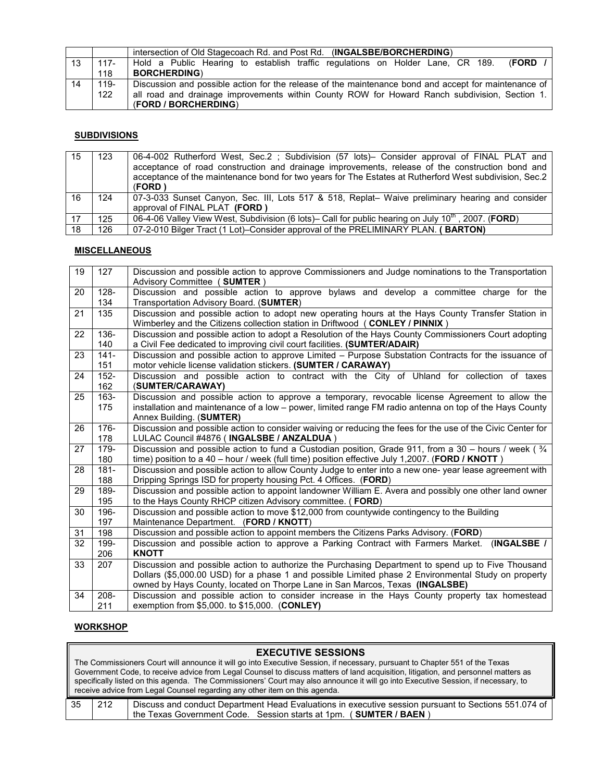|    |         | intersection of Old Stagecoach Rd. and Post Rd. (INGALSBE/BORCHERDING)                               |
|----|---------|------------------------------------------------------------------------------------------------------|
| 13 | 117-    | <b>FORD</b> /<br>Hold a Public Hearing to establish traffic regulations on Holder Lane, CR 189.      |
|    | 118     | <b>BORCHERDING</b>                                                                                   |
| 14 | $119 -$ | Discussion and possible action for the release of the maintenance bond and accept for maintenance of |
|    | 122     | all road and drainage improvements within County ROW for Howard Ranch subdivision, Section 1.        |
|    |         | (FORD / BORCHERDING)                                                                                 |

# **SUBDIVISIONS**

| 15 | 123 | 06-4-002 Rutherford West, Sec.2; Subdivision (57 lots)– Consider approval of FINAL PLAT and<br>acceptance of road construction and drainage improvements, release of the construction bond and<br>acceptance of the maintenance bond for two years for The Estates at Rutherford West subdivision, Sec. 2<br><b>(FORD)</b> |
|----|-----|----------------------------------------------------------------------------------------------------------------------------------------------------------------------------------------------------------------------------------------------------------------------------------------------------------------------------|
| 16 | 124 | 07-3-033 Sunset Canyon, Sec. III, Lots 517 & 518, Replat- Waive preliminary hearing and consider                                                                                                                                                                                                                           |
|    |     | approval of FINAL PLAT (FORD)                                                                                                                                                                                                                                                                                              |
| 17 | 125 | 06-4-06 Valley View West, Subdivision (6 lots)– Call for public hearing on July 10 <sup>th</sup> , 2007. (FORD)                                                                                                                                                                                                            |
| 18 | 126 | 07-2-010 Bilger Tract (1 Lot)–Consider approval of the PRELIMINARY PLAN. (BARTON)                                                                                                                                                                                                                                          |

# **MISCELLANEOUS**

| 19 | 127     | Discussion and possible action to approve Commissioners and Judge nominations to the Transportation<br>Advisory Committee (SUMTER) |
|----|---------|------------------------------------------------------------------------------------------------------------------------------------|
| 20 | $128 -$ | Discussion and possible action to approve bylaws and develop a committee charge for the                                            |
|    | 134     | Transportation Advisory Board. (SUMTER)                                                                                            |
| 21 | 135     | Discussion and possible action to adopt new operating hours at the Hays County Transfer Station in                                 |
|    |         | Wimberley and the Citizens collection station in Driftwood (CONLEY / PINNIX)                                                       |
| 22 | 136-    | Discussion and possible action to adopt a Resolution of the Hays County Commissioners Court adopting                               |
|    | 140     | a Civil Fee dedicated to improving civil court facilities. (SUMTER/ADAIR)                                                          |
| 23 | $141 -$ | Discussion and possible action to approve Limited – Purpose Substation Contracts for the issuance of                               |
|    | 151     | motor vehicle license validation stickers. (SUMTER / CARAWAY)                                                                      |
| 24 | $152 -$ | Discussion and possible action to contract with the City of Uhland for collection of taxes                                         |
|    | 162     | (SUMTER/CARAWAY)                                                                                                                   |
| 25 | $163 -$ | Discussion and possible action to approve a temporary, revocable license Agreement to allow the                                    |
|    | 175     | installation and maintenance of a low - power, limited range FM radio antenna on top of the Hays County                            |
|    |         | Annex Building. (SUMTER)                                                                                                           |
| 26 | $176 -$ | Discussion and possible action to consider waiving or reducing the fees for the use of the Civic Center for                        |
|    | 178     | LULAC Council #4876 (INGALSBE / ANZALDUA)                                                                                          |
| 27 | $179 -$ | Discussion and possible action to fund a Custodian position, Grade 911, from a 30 – hours / week ( $\frac{3}{4}$                   |
|    | 180     | time) position to a 40 – hour / week (full time) position effective July 1,2007. (FORD / KNOTT)                                    |
| 28 | $181 -$ | Discussion and possible action to allow County Judge to enter into a new one-year lease agreement with                             |
|    | 188     | Dripping Springs ISD for property housing Pct. 4 Offices. (FORD)                                                                   |
| 29 | 189-    | Discussion and possible action to appoint landowner William E. Avera and possibly one other land owner                             |
|    | 195     | to the Hays County RHCP citizen Advisory committee. (FORD)                                                                         |
| 30 | 196-    | Discussion and possible action to move \$12,000 from countywide contingency to the Building                                        |
|    | 197     | Maintenance Department. (FORD / KNOTT)                                                                                             |
| 31 | 198     | Discussion and possible action to appoint members the Citizens Parks Advisory. (FORD)                                              |
| 32 | 199-    | Discussion and possible action to approve a Parking Contract with Farmers Market.<br>(INGALSBE /                                   |
|    | 206     | <b>KNOTT</b>                                                                                                                       |
| 33 | 207     | Discussion and possible action to authorize the Purchasing Department to spend up to Five Thousand                                 |
|    |         | Dollars (\$5,000.00 USD) for a phase 1 and possible Limited phase 2 Environmental Study on property                                |
|    |         | owned by Hays County, located on Thorpe Lane in San Marcos, Texas (INGALSBE)                                                       |
| 34 | $208 -$ | Discussion and possible action to consider increase in the Hays County property tax homestead                                      |
|    | 211     | exemption from \$5,000. to \$15,000. (CONLEY)                                                                                      |

# **WORKSHOP**

|                                                                                                                                                                                                                                                                   |     | <b>EXECUTIVE SESSIONS</b>                                                                            |
|-------------------------------------------------------------------------------------------------------------------------------------------------------------------------------------------------------------------------------------------------------------------|-----|------------------------------------------------------------------------------------------------------|
| The Commissioners Court will announce it will go into Executive Session, if necessary, pursuant to Chapter 551 of the Texas<br>Government Code, to receive advice from Legal Counsel to discuss matters of land acquisition, litigation, and personnel matters as |     |                                                                                                      |
| specifically listed on this agenda. The Commissioners' Court may also announce it will go into Executive Session, if necessary, to<br>receive advice from Legal Counsel regarding any other item on this agenda.                                                  |     |                                                                                                      |
|                                                                                                                                                                                                                                                                   |     |                                                                                                      |
| 35                                                                                                                                                                                                                                                                | 212 | Discuss and conduct Department Head Evaluations in executive session pursuant to Sections 551.074 of |
|                                                                                                                                                                                                                                                                   |     | the Texas Government Code. Session starts at 1pm. (SUMTER / BAEN)                                    |